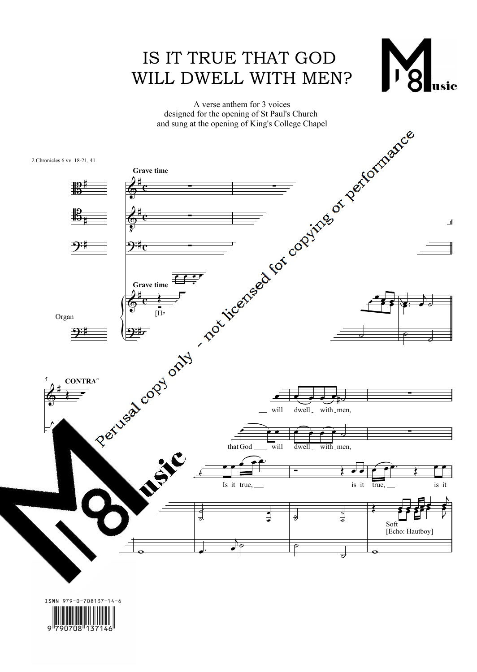# IS IT TRUE THAT GOD WILL DWELL WITH MEN?

usic



9 790708 137146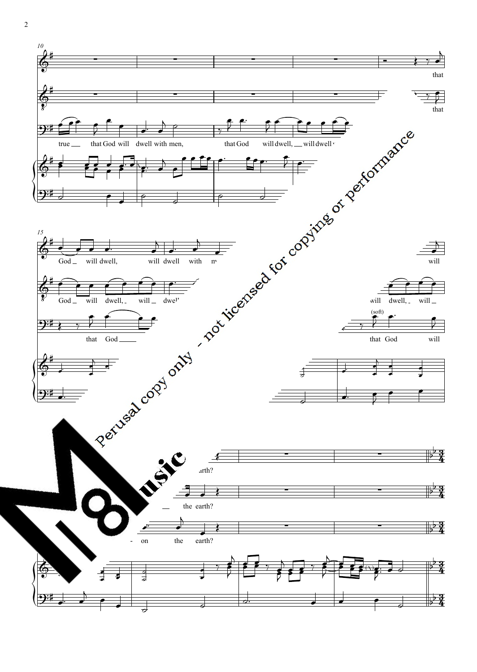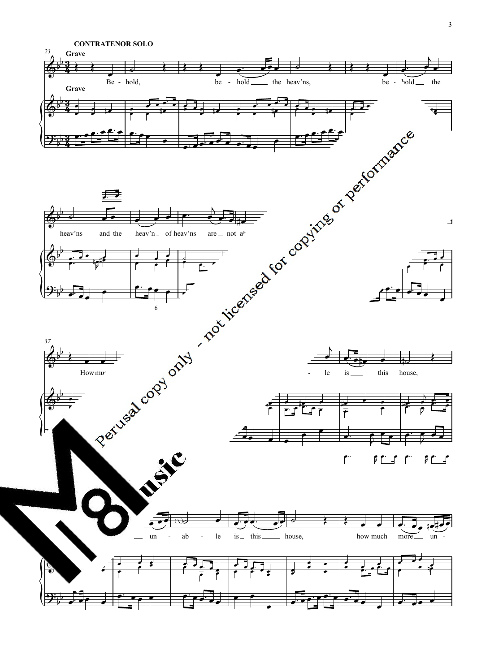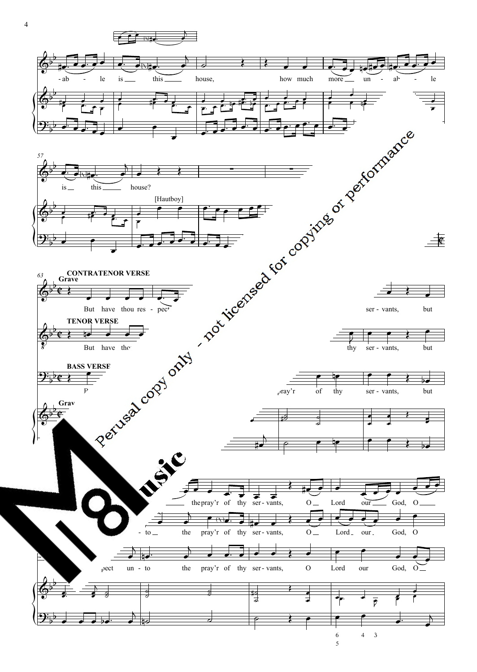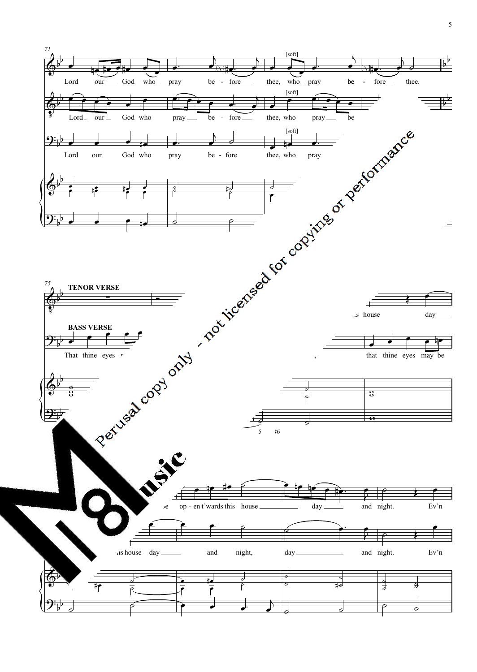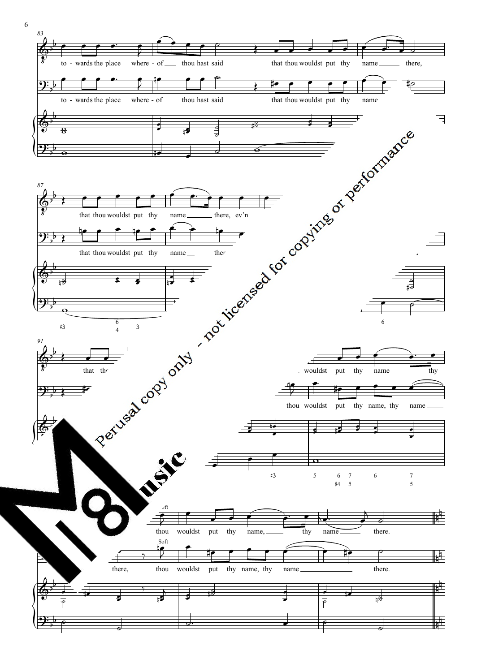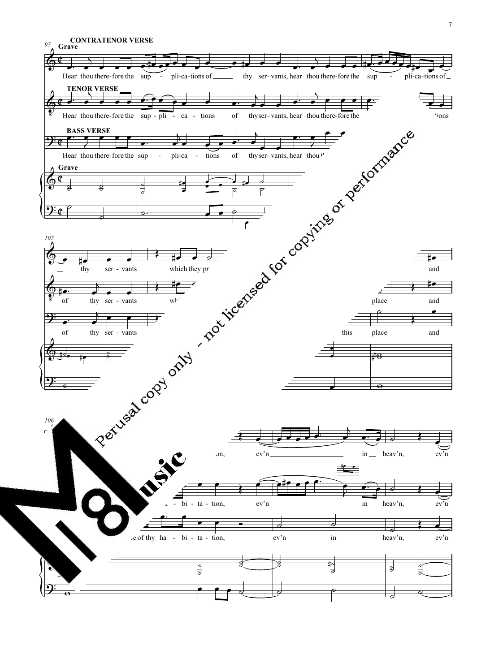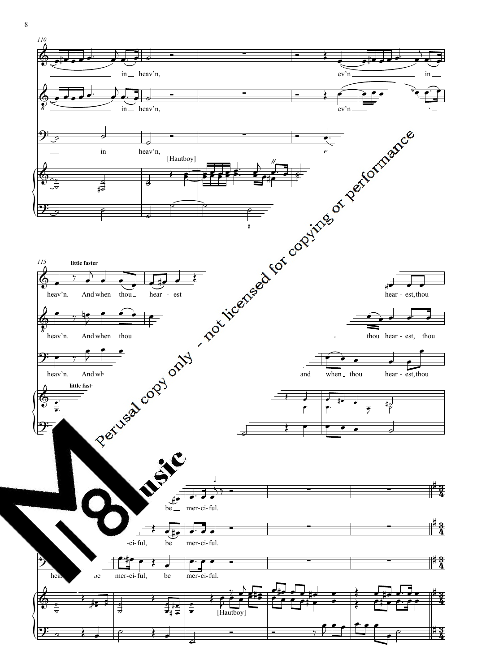

8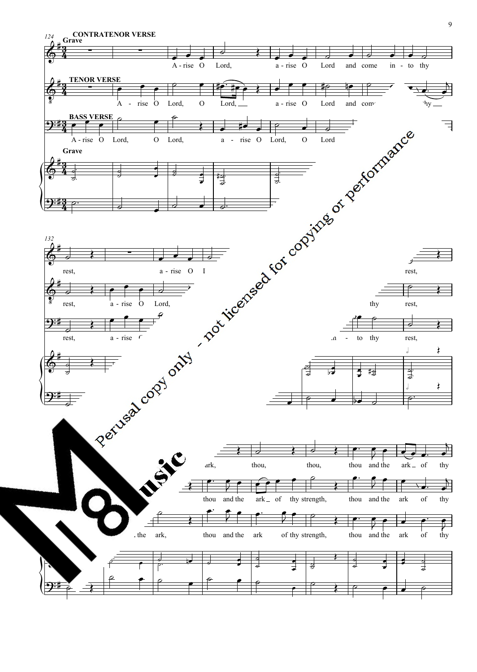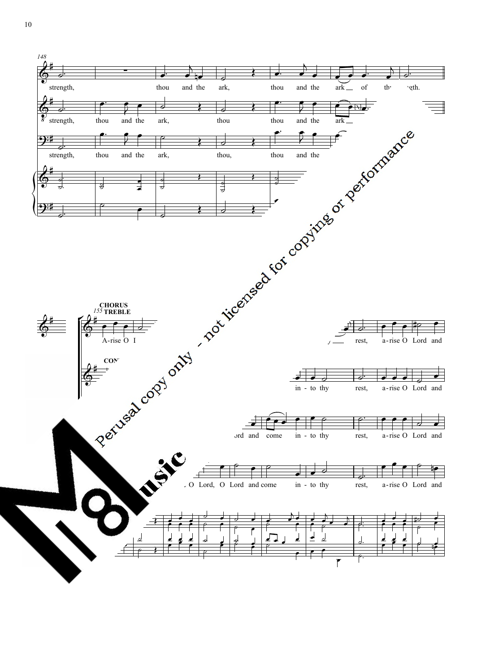

10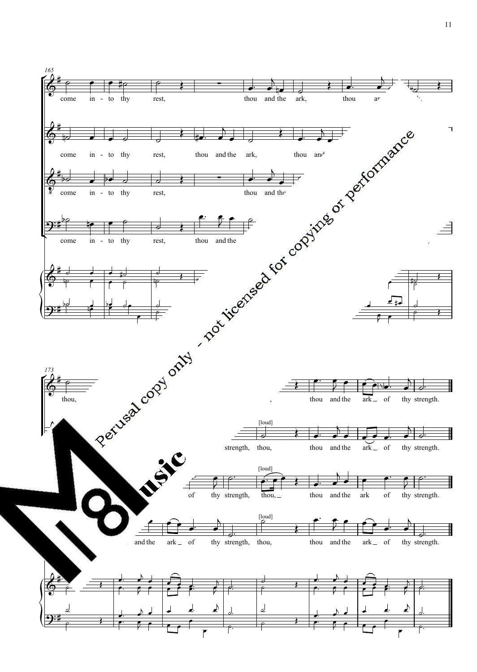